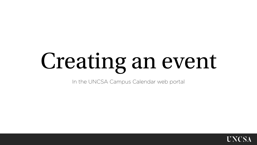# Creating an event

In the UNCSA Campus Calendar web portal

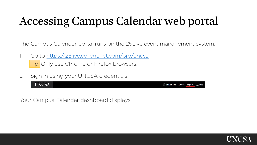# Accessing Campus Calendar web portal

The Campus Calendar portal runs on the 25Live event management system.

- 1. Go to <https://25live.collegenet.com/pro/uncsa> Tip: Only use Chrome or Firefox browsers.
- 2. Sign in using your UNCSA credentials

**UNCSA** <sup>25</sup> 25 Live Pro Guest Sign In

Your Campus Calendar dashboard displays.

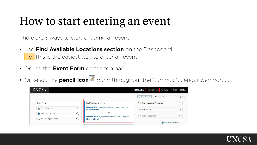#### How to start entering an event

There are 3 ways to start entering an event:

- Use **Find Available Locations section** on the Dashboard. Tip: This is the easiest way to enter an event.
- Or use the **Event Form** on the top bar.
- Or select the **pencil icon** found throughout the Campus Calendar web portal.

| <b>UNCSA</b>              |          |                                                                       | Fasks testuser = More<br><b>25Live Pro</b> $\boxed{\varnothing}$ Event Form |               |
|---------------------------|----------|-----------------------------------------------------------------------|-----------------------------------------------------------------------------|---------------|
|                           |          |                                                                       | Q Go to Search<br>Nothing recently viewed                                   | $\div$ 3 Help |
| <b>Ouick Search</b>       | $\wedge$ | <b>Find Available Locations</b>                                       | <b>Your Starred Location Searches</b>                                       | $\checkmark$  |
| <b>Search Events</b><br>N | $\alpha$ | I know WHEN my event should take place -- help me<br>find a location! | <b>Your Starred Events</b>                                                  | $\check{ }$   |
| Search Locations<br>м     | $\alpha$ | <b>OR</b>                                                             |                                                                             |               |
| Search Organizations      | $\alpha$ | I know WHERE my event should take place -- help me<br>choose a time!  | <b>Your Starred Locations</b>                                               | $\checkmark$  |
|                           |          |                                                                       | {o} Customize Dashboard                                                     |               |

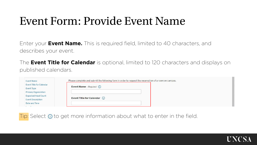#### Event Form: Provide Event Name

Enter your **Event Name.** This is required field, limited to 40 characters, and describes your event.

The **Event Title for Calendar** is optional, limited to 120 characters and displays on published calendars.

| Please complete and submit the following form in order to request the reservation of a room on campus. |                                                           |
|--------------------------------------------------------------------------------------------------------|-----------------------------------------------------------|
|                                                                                                        |                                                           |
|                                                                                                        |                                                           |
|                                                                                                        |                                                           |
|                                                                                                        |                                                           |
|                                                                                                        |                                                           |
|                                                                                                        |                                                           |
|                                                                                                        | Event Name - Required (i)<br>Event Title for Calendar (i) |

Tip: Select  $\odot$  to get more information about what to enter in the field.

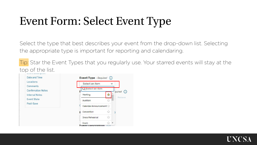## Event Form: Select Event Type

Select the type that best describes your event from the drop-down list. Selecting the appropriate type is important for reporting and calendaring.

Tip: Star the Event Types that you regularly use. Your starred events will stay at the top of the list.



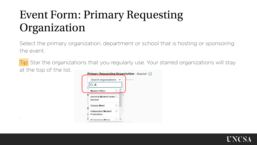# Event Form: Primary Requesting Organization

.

Select the primary organization, department or school that is hosting or sponsoring the event.

Tip: Star the organizations that you regularly use. Your starred organizations will stay at the top of the list.

| 2st<br><b>Student Affairs</b><br>13<br>Alumni & Student Career<br><b>Services</b><br>52<br><b>Campus Store</b><br>Ŵ<br>Independent Student | Search organizations v | temove |
|--------------------------------------------------------------------------------------------------------------------------------------------|------------------------|--------|
|                                                                                                                                            |                        |        |
|                                                                                                                                            |                        |        |
|                                                                                                                                            |                        |        |
|                                                                                                                                            |                        |        |
| <b>Productions</b>                                                                                                                         |                        |        |

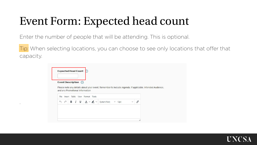## Event Form: Expected head count

Enter the number of people that will be attending. This is optional.

.

Tip: When selecting locations, you can choose to see only locations that offer that capacity.

|                                    | Event Description (i) |                                 |                 |             |                               |                                                                                                          |  |
|------------------------------------|-----------------------|---------------------------------|-----------------|-------------|-------------------------------|----------------------------------------------------------------------------------------------------------|--|
|                                    |                       |                                 |                 |             |                               | Please note any details about your event. Remember to include: Agenda, if applicable, Intended Audience, |  |
|                                    |                       | and any Promotional Information |                 |             |                               |                                                                                                          |  |
| File<br>Insert                     |                       | Table View Format Tools         |                 |             |                               |                                                                                                          |  |
|                                    | в                     | $I \underline{\cup}$            | $A \vee P \vee$ | System Font | $\checkmark$<br>$\times$ 12pt | \$                                                                                                       |  |
| $\rightarrow$<br>$\leftrightarrow$ |                       |                                 |                 |             |                               |                                                                                                          |  |

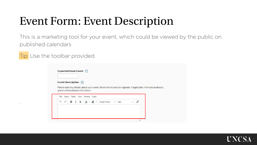#### Event Form: Event Description

This is a marketing tool for your event, which could be viewed by the public on published calendars

Tip: Use the toolbar provided.

.

|                   |        | Event Description (i)           |   |            |        |            |        |             |                                                                                                          |              |    |  |
|-------------------|--------|---------------------------------|---|------------|--------|------------|--------|-------------|----------------------------------------------------------------------------------------------------------|--------------|----|--|
|                   |        |                                 |   |            |        |            |        |             | Please note any details about your event. Remember to include: Agenda, if applicable, Intended Audience, |              |    |  |
|                   |        | and any Promotional Information |   |            |        |            |        |             |                                                                                                          |              |    |  |
| File              | Insert |                                 |   | Table View | Format |            | Tools  |             |                                                                                                          |              |    |  |
| $\leftrightarrow$ | σ      | в                               | I | ⊻          |        | $A \vee P$ | $\vee$ | System Font | $\vee$<br>12pt                                                                                           | $\checkmark$ | \$ |  |
|                   |        |                                 |   |            |        |            |        |             |                                                                                                          |              |    |  |

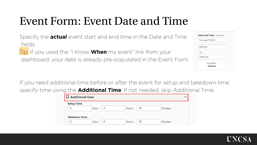#### Event Form: Event Date and Time

Specify the **actual** event start and end time in the Date and Time fields.

Tip: If you used the "I Know **When** my event" link from your

dashboard, your date is already pre-populated in the Event Form.

| Thu Aug 19 2021 |           |  |
|-----------------|-----------|--|
| 8:00 pm         |           |  |
| To:             |           |  |
| 10:00 pm        |           |  |
|                 | Duration: |  |
|                 | 2 Hours   |  |

If you need additional time before or after the event for setup and takedown time, specify time using the **Additional Time**. If not needed, skip Additional Time.

| 30<br>0<br>Hours<br>Minutes<br>Days<br>U |  |  |
|------------------------------------------|--|--|
|                                          |  |  |
| <b>Takedown Time</b>                     |  |  |

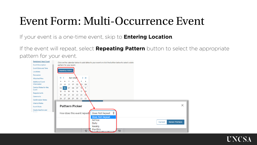#### Event Form: Multi-Occurrence Event

If your event is a one-time event, skip to **Entering Location**.

If the event will repeat, select **Repeating Pattern** button to select the appropriate pattern for your event.



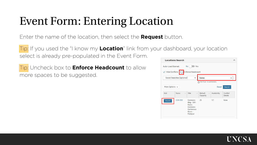#### Event Form: Entering Location

Enter the name of the location, then select the **Request** button.

Tip: If you used the "I know my **Location**" link from your dashboard, your location select is already pre-populated in the Event Form.

Tip: Uncheck box to **Enforce Headcount** to allow more spaces to be suggested.

| Hide Conflicts             |                           | Enforce Headcount                           |                |                       |                               |
|----------------------------|---------------------------|---------------------------------------------|----------------|-----------------------|-------------------------------|
|                            | Saved Searches (optional) | $\checkmark$                                | <b>Hanes</b>   |                       | $\times$                      |
| More Options $\sim$<br>Add | Name<br>-                 | Title<br>$\overline{\phantom{m}}$           | Default        | Reset<br>Availability | Search<br>Conflict<br>Details |
| Request                    | COM-301                   | Commons<br>Bldg - 301 -<br>Hanes<br>Commons | Capacity<br>25 | 1/1                   | None                          |

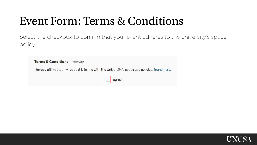#### Event Form: Terms & Conditions

Select the checkbox to confirm that your event adheres to the university's space policy.

| <b>Terms &amp; Conditions</b> - Required |                                                                                                  |
|------------------------------------------|--------------------------------------------------------------------------------------------------|
|                                          | I hereby affirm that my request is in line with the University's space use policies, found here. |
|                                          | ■ Diagree                                                                                        |

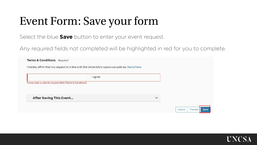#### Event Form: Save your form

Select the blue **Save** button to enter your event request.

Any required fields not completed will be highlighted in red for you to complete.

|                                                               | I hereby affirm that my request is in line with the University's space use policies, found here. |              |  |
|---------------------------------------------------------------|--------------------------------------------------------------------------------------------------|--------------|--|
|                                                               | <b>l</b> agree                                                                                   |              |  |
| Please enter a value for required fields (Terms & Conditions) |                                                                                                  |              |  |
|                                                               |                                                                                                  |              |  |
| <b>After Saving This Event</b>                                |                                                                                                  | $\checkmark$ |  |